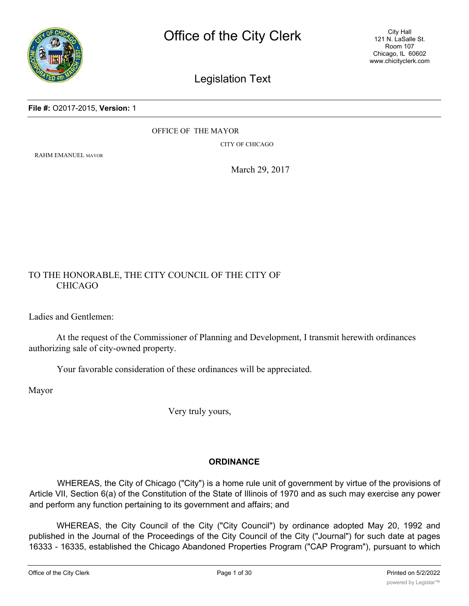

## Legislation Text

**File #:** O2017-2015, **Version:** 1

OFFICE OF THE MAYOR

CITY OF CHICAGO

RAHM EMANUEL MAYOR

March 29, 2017

## TO THE HONORABLE, THE CITY COUNCIL OF THE CITY OF CHICAGO

Ladies and Gentlemen:

At the request of the Commissioner of Planning and Development, I transmit herewith ordinances authorizing sale of city-owned property.

Your favorable consideration of these ordinances will be appreciated.

Mayor

Very truly yours,

## **ORDINANCE**

WHEREAS, the City of Chicago ("City") is a home rule unit of government by virtue of the provisions of Article VII, Section 6(a) of the Constitution of the State of Illinois of 1970 and as such may exercise any power and perform any function pertaining to its government and affairs; and

WHEREAS, the City Council of the City ("City Council") by ordinance adopted May 20, 1992 and published in the Journal of the Proceedings of the City Council of the City ("Journal") for such date at pages 16333 - 16335, established the Chicago Abandoned Properties Program ("CAP Program"), pursuant to which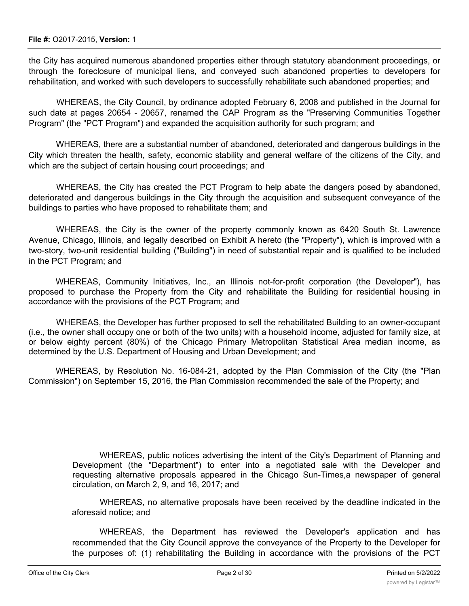the City has acquired numerous abandoned properties either through statutory abandonment proceedings, or through the foreclosure of municipal liens, and conveyed such abandoned properties to developers for rehabilitation, and worked with such developers to successfully rehabilitate such abandoned properties; and

WHEREAS, the City Council, by ordinance adopted February 6, 2008 and published in the Journal for such date at pages 20654 - 20657, renamed the CAP Program as the "Preserving Communities Together Program" (the "PCT Program") and expanded the acquisition authority for such program; and

WHEREAS, there are a substantial number of abandoned, deteriorated and dangerous buildings in the City which threaten the health, safety, economic stability and general welfare of the citizens of the City, and which are the subject of certain housing court proceedings; and

WHEREAS, the City has created the PCT Program to help abate the dangers posed by abandoned, deteriorated and dangerous buildings in the City through the acquisition and subsequent conveyance of the buildings to parties who have proposed to rehabilitate them; and

WHEREAS, the City is the owner of the property commonly known as 6420 South St. Lawrence Avenue, Chicago, Illinois, and legally described on Exhibit A hereto (the "Property"), which is improved with a two-story, two-unit residential building ("Building") in need of substantial repair and is qualified to be included in the PCT Program; and

WHEREAS, Community Initiatives, Inc., an Illinois not-for-profit corporation (the Developer"), has proposed to purchase the Property from the City and rehabilitate the Building for residential housing in accordance with the provisions of the PCT Program; and

WHEREAS, the Developer has further proposed to sell the rehabilitated Building to an owner-occupant (i.e., the owner shall occupy one or both of the two units) with a household income, adjusted for family size, at or below eighty percent (80%) of the Chicago Primary Metropolitan Statistical Area median income, as determined by the U.S. Department of Housing and Urban Development; and

WHEREAS, by Resolution No. 16-084-21, adopted by the Plan Commission of the City (the "Plan Commission") on September 15, 2016, the Plan Commission recommended the sale of the Property; and

> WHEREAS, public notices advertising the intent of the City's Department of Planning and Development (the "Department") to enter into a negotiated sale with the Developer and requesting alternative proposals appeared in the Chicago Sun-Times,a newspaper of general circulation, on March 2, 9, and 16, 2017; and

> WHEREAS, no alternative proposals have been received by the deadline indicated in the aforesaid notice; and

> WHEREAS, the Department has reviewed the Developer's application and has recommended that the City Council approve the conveyance of the Property to the Developer for the purposes of: (1) rehabilitating the Building in accordance with the provisions of the PCT

 $\mathcal{P}_\text{r}$  selling the rehabilitation building the rehabilitation building to an owner-occupant (i.e., the owner shall be owner shall be owner shall be owner shall be owner shall be owner shall be owner shall be owner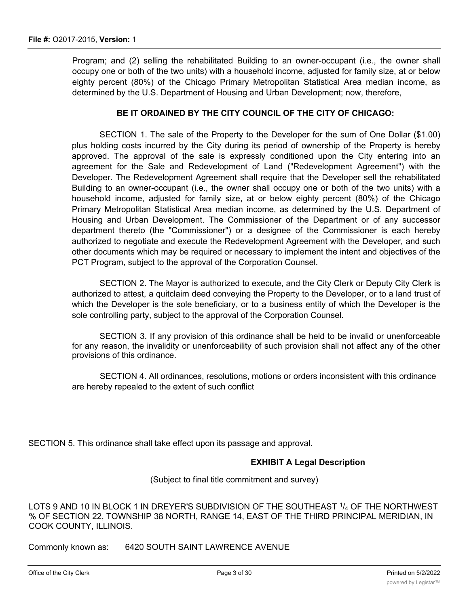Program; and (2) selling the rehabilitated Building to an owner-occupant (i.e., the owner shall occupy one or both of the two units) with a household income, adjusted for family size, at or below eighty percent (80%) of the Chicago Primary Metropolitan Statistical Area median income, as determined by the U.S. Department of Housing and Urban Development; now, therefore,

## **BE IT ORDAINED BY THE CITY COUNCIL OF THE CITY OF CHICAGO:**

SECTION 1. The sale of the Property to the Developer for the sum of One Dollar (\$1.00) plus holding costs incurred by the City during its period of ownership of the Property is hereby approved. The approval of the sale is expressly conditioned upon the City entering into an agreement for the Sale and Redevelopment of Land ("Redevelopment Agreement") with the Developer. The Redevelopment Agreement shall require that the Developer sell the rehabilitated Building to an owner-occupant (i.e., the owner shall occupy one or both of the two units) with a household income, adjusted for family size, at or below eighty percent (80%) of the Chicago Primary Metropolitan Statistical Area median income, as determined by the U.S. Department of Housing and Urban Development. The Commissioner of the Department or of any successor department thereto (the "Commissioner") or a designee of the Commissioner is each hereby authorized to negotiate and execute the Redevelopment Agreement with the Developer, and such other documents which may be required or necessary to implement the intent and objectives of the PCT Program, subject to the approval of the Corporation Counsel.

SECTION 2. The Mayor is authorized to execute, and the City Clerk or Deputy City Clerk is authorized to attest, a quitclaim deed conveying the Property to the Developer, or to a land trust of which the Developer is the sole beneficiary, or to a business entity of which the Developer is the sole controlling party, subject to the approval of the Corporation Counsel.

SECTION 3. If any provision of this ordinance shall be held to be invalid or unenforceable for any reason, the invalidity or unenforceability of such provision shall not affect any of the other provisions of this ordinance.

SECTION 4. All ordinances, resolutions, motions or orders inconsistent with this ordinance are hereby repealed to the extent of such conflict

SECTION 5. This ordinance shall take effect upon its passage and approval.

## **EXHIBIT A Legal Description**

(Subject to final title commitment and survey)

LOTS 9 AND 10 IN BLOCK 1 IN DREYER'S SUBDIVISION OF THE SOUTHEAST  $1/4$  OF THE NORTHWEST % OF SECTION 22, TOWNSHIP 38 NORTH, RANGE 14, EAST OF THE THIRD PRINCIPAL MERIDIAN, IN COOK COUNTY, ILLINOIS.

Commonly known as: 6420 SOUTH SAINT LAWRENCE AVENUE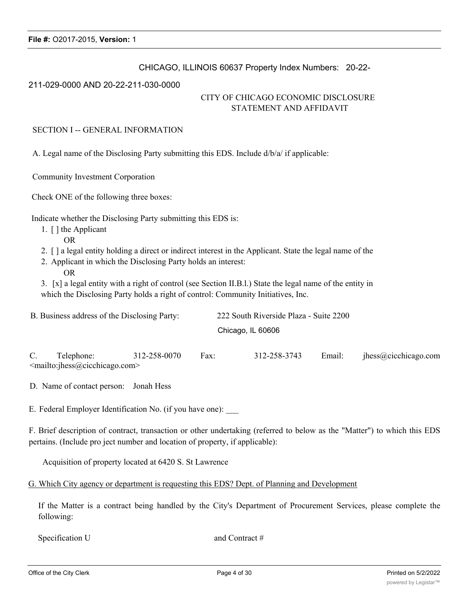## CHICAGO, ILLINOIS 60637 Property Index Numbers: 20-22-

#### 211-029-0000 AND 20-22-211-030-0000

## CITY OF CHICAGO ECONOMIC DISCLOSURE STATEMENT AND AFFIDAVIT

#### SECTION I -- GENERAL INFORMATION

A. Legal name of the Disclosing Party submitting this EDS. Include d/b/a/ if applicable:

Community Investment Corporation

Check ONE of the following three boxes:

Indicate whether the Disclosing Party submitting this EDS is:

- 1. [ ] the Applicant
	- OR
- 2. [ ] a legal entity holding a direct or indirect interest in the Applicant. State the legal name of the
- 2. Applicant in which the Disclosing Party holds an interest:
	- OR

3. [x] a legal entity with a right of control (see Section II.B.l.) State the legal name of the entity in which the Disclosing Party holds a right of control: Community Initiatives, Inc.

| B. Business address of the Disclosing Party: | 222 South Riverside Plaza - Suite 2200 |
|----------------------------------------------|----------------------------------------|
|                                              | Chicago, IL 60606                      |
|                                              |                                        |

C. Telephone: 312-258-0070 Fax: 312-258-3743 Email: jhess@cicchicago.com <mailto:jhess@cicchicago.com>

D. Name of contact person: Jonah Hess

E. Federal Employer Identification No. (if you have one):

F. Brief description of contract, transaction or other undertaking (referred to below as the "Matter") to which this EDS pertains. (Include pro ject number and location of property, if applicable):

Acquisition of property located at 6420 S. St Lawrence

G. Which City agency or department is requesting this EDS? Dept. of Planning and Development

If the Matter is a contract being handled by the City's Department of Procurement Services, please complete the following:

Specification U and Contract #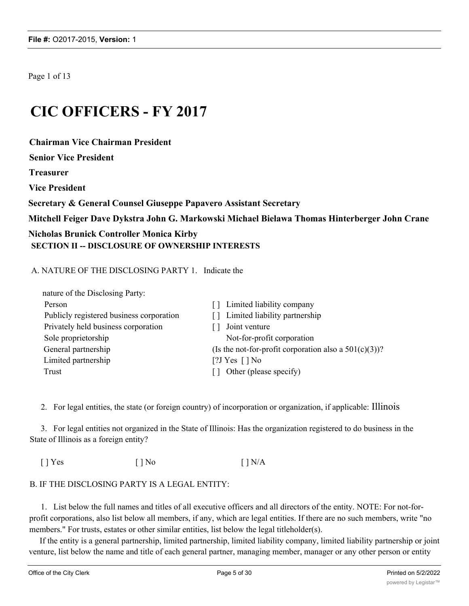Page 1 of 13

# **CIC OFFICERS - FY 2017**

**Chairman Vice Chairman President**

**Senior Vice President**

**Treasurer**

**Vice President**

**Secretary & General Counsel Giuseppe Papavero Assistant Secretary**

**Mitchell Feiger Dave Dykstra John G. Markowski Michael Bielawa Thomas Hinterberger John Crane**

## **Nicholas Brunick Controller Monica Kirby SECTION II -- DISCLOSURE OF OWNERSHIP INTERESTS**

## A. NATURE OF THE DISCLOSING PARTY 1. Indicate the

| nature of the Disclosing Party:          |                                                          |
|------------------------------------------|----------------------------------------------------------|
| Person                                   | Limited liability company<br>$\Box$                      |
| Publicly registered business corporation | Limited liability partnership<br>l I                     |
| Privately held business corporation      | Joint venture                                            |
| Sole proprietorship                      | Not-for-profit corporation                               |
| General partnership                      | (Is the not-for-profit corporation also a $501(c)(3)$ )? |
| Limited partnership                      | [?J Yes $\lceil \cdot \rceil$ No                         |
| Trust                                    | Other (please specify)                                   |

2. For legal entities, the state (or foreign country) of incorporation or organization, if applicable: Illinois

3. For legal entities not organized in the State of Illinois: Has the organization registered to do business in the State of Illinois as a foreign entity?

 $[ ]$  Yes  $[ ]$  No  $[ ]$  No  $[ ]$  N/A

## B. IF THE DISCLOSING PARTY IS A LEGAL ENTITY:

1. List below the full names and titles of all executive officers and all directors of the entity. NOTE: For not-forprofit corporations, also list below all members, if any, which are legal entities. If there are no such members, write "no members." For trusts, estates or other similar entities, list below the legal titleholder(s).

If the entity is a general partnership, limited partnership, limited liability company, limited liability partnership or joint venture, list below the name and title of each general partner, managing member, manager or any other person or entity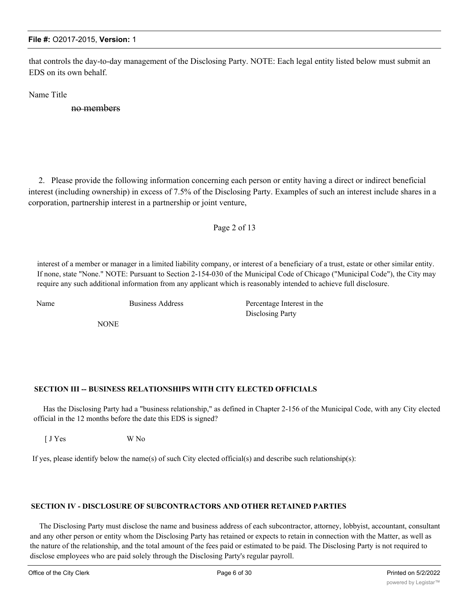that controls the day-to-day management of the Disclosing Party. NOTE: Each legal entity listed below must submit an EDS on its own behalf.

Name Title

no members

2. Please provide the following information concerning each person or entity having a direct or indirect beneficial interest (including ownership) in excess of 7.5% of the Disclosing Party. Examples of such an interest include shares in a corporation, partnership interest in a partnership or joint venture,

#### Page 2 of 13

interest of a member or manager in a limited liability company, or interest of a beneficiary of a trust, estate or other similar entity. If none, state "None." NOTE: Pursuant to Section 2-154-030 of the Municipal Code of Chicago ("Municipal Code"), the City may require any such additional information from any applicant which is reasonably intended to achieve full disclosure.

NONE

Name Business Address Percentage Interest in the Disclosing Party

#### **SECTION III -- BUSINESS RELATIONSHIPS WITH CITY ELECTED OFFICIALS**

Has the Disclosing Party had a "business relationship," as defined in Chapter 2-156 of the Municipal Code, with any City elected official in the 12 months before the date this EDS is signed?

[ J Yes W No

If yes, please identify below the name(s) of such City elected official(s) and describe such relationship(s):

#### **SECTION IV - DISCLOSURE OF SUBCONTRACTORS AND OTHER RETAINED PARTIES**

The Disclosing Party must disclose the name and business address of each subcontractor, attorney, lobbyist, accountant, consultant and any other person or entity whom the Disclosing Party has retained or expects to retain in connection with the Matter, as well as the nature of the relationship, and the total amount of the fees paid or estimated to be paid. The Disclosing Party is not required to disclose employees who are paid solely through the Disclosing Party's regular payroll.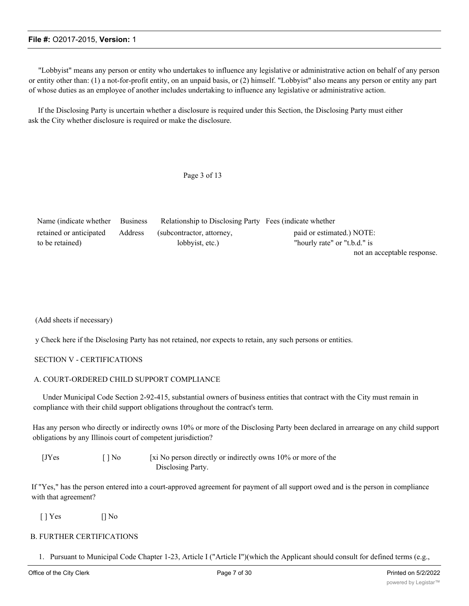"Lobbyist" means any person or entity who undertakes to influence any legislative or administrative action on behalf of any person or entity other than: (1) a not-for-profit entity, on an unpaid basis, or (2) himself. "Lobbyist" also means any person or entity any part of whose duties as an employee of another includes undertaking to influence any legislative or administrative action.

If the Disclosing Party is uncertain whether a disclosure is required under this Section, the Disclosing Party must either ask the City whether disclosure is required or make the disclosure.

#### Page 3 of 13

| Name (indicate whether Business |         | Relationship to Disclosing Party Fees (indicate whether |                              |  |
|---------------------------------|---------|---------------------------------------------------------|------------------------------|--|
| retained or anticipated         | Address | (subcontractor, attorney,                               | paid or estimated.) NOTE:    |  |
| to be retained)                 |         | lobbyist, etc.)                                         | "hourly rate" or "t.b.d." is |  |
|                                 |         |                                                         | not an acceptable response.  |  |

(Add sheets if necessary)

y Check here if the Disclosing Party has not retained, nor expects to retain, any such persons or entities.

#### SECTION V - CERTIFICATIONS

#### A. COURT-ORDERED CHILD SUPPORT COMPLIANCE

Under Municipal Code Section 2-92-415, substantial owners of business entities that contract with the City must remain in compliance with their child support obligations throughout the contract's term.

Has any person who directly or indirectly owns 10% or more of the Disclosing Party been declared in arrearage on any child support obligations by any Illinois court of competent jurisdiction?

| <b>IJYes</b> | $\lceil \cdot \rceil$ No | [xi No person directly or indirectly owns 10% or more of the |
|--------------|--------------------------|--------------------------------------------------------------|
|              |                          | Disclosing Party.                                            |

If "Yes," has the person entered into a court-approved agreement for payment of all support owed and is the person in compliance with that agreement?

 $[$  | Yes  $[$  | No

#### B. FURTHER CERTIFICATIONS

1. Pursuant to Municipal Code Chapter 1-23, Article I ("Article I")(which the Applicant should consult for defined terms (e.g.,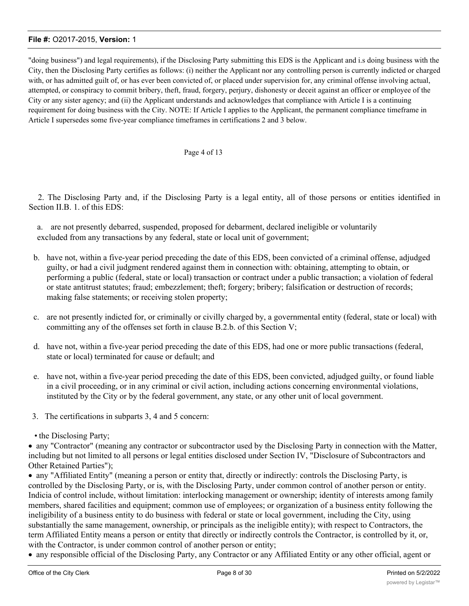"doing business") and legal requirements), if the Disclosing Party submitting this EDS is the Applicant and i.s doing business with the City, then the Disclosing Party certifies as follows: (i) neither the Applicant nor any controlling person is currently indicted or charged with, or has admitted guilt of, or has ever been convicted of, or placed under supervision for, any criminal offense involving actual, attempted, or conspiracy to commit bribery, theft, fraud, forgery, perjury, dishonesty or deceit against an officer or employee of the City or any sister agency; and (ii) the Applicant understands and acknowledges that compliance with Article I is a continuing requirement for doing business with the City. NOTE: If Article I applies to the Applicant, the permanent compliance timeframe in Article I supersedes some five-year compliance timeframes in certifications 2 and 3 below.

#### Page 4 of 13

2. The Disclosing Party and, if the Disclosing Party is a legal entity, all of those persons or entities identified in Section II.B. 1. of this EDS:

a. are not presently debarred, suspended, proposed for debarment, declared ineligible or voluntarily excluded from any transactions by any federal, state or local unit of government;

- b. have not, within a five-year period preceding the date of this EDS, been convicted of a criminal offense, adjudged guilty, or had a civil judgment rendered against them in connection with: obtaining, attempting to obtain, or performing a public (federal, state or local) transaction or contract under a public transaction; a violation of federal or state antitrust statutes; fraud; embezzlement; theft; forgery; bribery; falsification or destruction of records; making false statements; or receiving stolen property;
- c. are not presently indicted for, or criminally or civilly charged by, a governmental entity (federal, state or local) with committing any of the offenses set forth in clause B.2.b. of this Section V;
- d. have not, within a five-year period preceding the date of this EDS, had one or more public transactions (federal, state or local) terminated for cause or default; and
- e. have not, within a five-year period preceding the date of this EDS, been convicted, adjudged guilty, or found liable in a civil proceeding, or in any criminal or civil action, including actions concerning environmental violations, instituted by the City or by the federal government, any state, or any other unit of local government.
- 3. The certifications in subparts 3, 4 and 5 concern:
- the Disclosing Party;

· any "Contractor" (meaning any contractor or subcontractor used by the Disclosing Party in connection with the Matter, including but not limited to all persons or legal entities disclosed under Section IV, "Disclosure of Subcontractors and Other Retained Parties");

· any "Affiliated Entity" (meaning a person or entity that, directly or indirectly: controls the Disclosing Party, is controlled by the Disclosing Party, or is, with the Disclosing Party, under common control of another person or entity. Indicia of control include, without limitation: interlocking management or ownership; identity of interests among family members, shared facilities and equipment; common use of employees; or organization of a business entity following the ineligibility of a business entity to do business with federal or state or local government, including the City, using substantially the same management, ownership, or principals as the ineligible entity); with respect to Contractors, the term Affiliated Entity means a person or entity that directly or indirectly controls the Contractor, is controlled by it, or, with the Contractor, is under common control of another person or entity;

· any responsible official of the Disclosing Party, any Contractor or any Affiliated Entity or any other official, agent or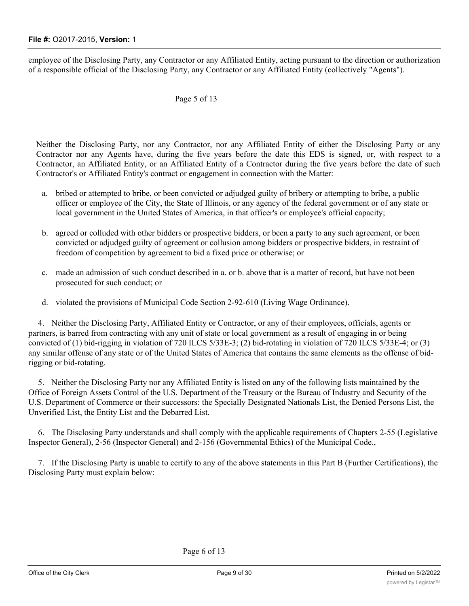employee of the Disclosing Party, any Contractor or any Affiliated Entity, acting pursuant to the direction or authorization of a responsible official of the Disclosing Party, any Contractor or any Affiliated Entity (collectively "Agents").

## Page 5 of 13

Neither the Disclosing Party, nor any Contractor, nor any Affiliated Entity of either the Disclosing Party or any Contractor nor any Agents have, during the five years before the date this EDS is signed, or, with respect to a Contractor, an Affiliated Entity, or an Affiliated Entity of a Contractor during the five years before the date of such Contractor's or Affiliated Entity's contract or engagement in connection with the Matter:

- a. bribed or attempted to bribe, or been convicted or adjudged guilty of bribery or attempting to bribe, a public officer or employee of the City, the State of Illinois, or any agency of the federal government or of any state or local government in the United States of America, in that officer's or employee's official capacity;
- b. agreed or colluded with other bidders or prospective bidders, or been a party to any such agreement, or been convicted or adjudged guilty of agreement or collusion among bidders or prospective bidders, in restraint of freedom of competition by agreement to bid a fixed price or otherwise; or
- c. made an admission of such conduct described in a. or b. above that is a matter of record, but have not been prosecuted for such conduct; or
- d. violated the provisions of Municipal Code Section 2-92-610 (Living Wage Ordinance).

4. Neither the Disclosing Party, Affiliated Entity or Contractor, or any of their employees, officials, agents or partners, is barred from contracting with any unit of state or local government as a result of engaging in or being convicted of (1) bid-rigging in violation of 720 ILCS 5/33E-3; (2) bid-rotating in violation of 720 ILCS 5/33E-4; or (3) any similar offense of any state or of the United States of America that contains the same elements as the offense of bidrigging or bid-rotating.

5. Neither the Disclosing Party nor any Affiliated Entity is listed on any of the following lists maintained by the Office of Foreign Assets Control of the U.S. Department of the Treasury or the Bureau of Industry and Security of the U.S. Department of Commerce or their successors: the Specially Designated Nationals List, the Denied Persons List, the Unverified List, the Entity List and the Debarred List.

6. The Disclosing Party understands and shall comply with the applicable requirements of Chapters 2-55 (Legislative Inspector General), 2-56 (Inspector General) and 2-156 (Governmental Ethics) of the Municipal Code.,

7. If the Disclosing Party is unable to certify to any of the above statements in this Part B (Further Certifications), the Disclosing Party must explain below: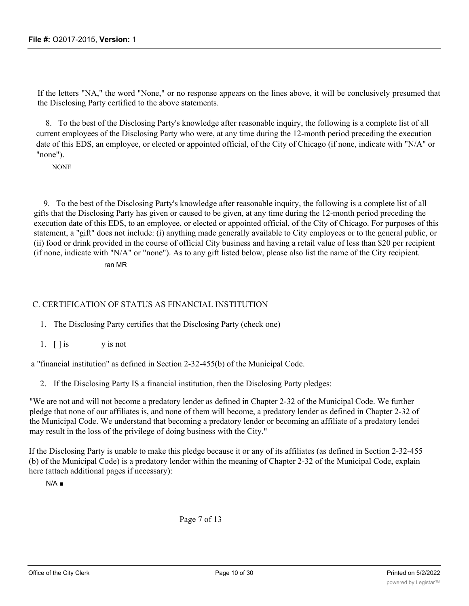If the letters "NA," the word "None," or no response appears on the lines above, it will be conclusively presumed that the Disclosing Party certified to the above statements.

8. To the best of the Disclosing Party's knowledge after reasonable inquiry, the following is a complete list of all current employees of the Disclosing Party who were, at any time during the 12-month period preceding the execution date of this EDS, an employee, or elected or appointed official, of the City of Chicago (if none, indicate with "N/A" or "none").

**NONE** 

9. To the best of the Disclosing Party's knowledge after reasonable inquiry, the following is a complete list of all gifts that the Disclosing Party has given or caused to be given, at any time during the 12-month period preceding the execution date of this EDS, to an employee, or elected or appointed official, of the City of Chicago. For purposes of this statement, a "gift" does not include: (i) anything made generally available to City employees or to the general public, or (ii) food or drink provided in the course of official City business and having a retail value of less than \$20 per recipient (if none, indicate with "N/A" or "none"). As to any gift listed below, please also list the name of the City recipient.

ran MR

## C. CERTIFICATION OF STATUS AS FINANCIAL INSTITUTION

1. The Disclosing Party certifies that the Disclosing Party (check one)

1.  $\left[\right]$  is y is not

a "financial institution" as defined in Section 2-32-455(b) of the Municipal Code.

2. If the Disclosing Party IS a financial institution, then the Disclosing Party pledges:

"We are not and will not become a predatory lender as defined in Chapter 2-32 of the Municipal Code. We further pledge that none of our affiliates is, and none of them will become, a predatory lender as defined in Chapter 2-32 of the Municipal Code. We understand that becoming a predatory lender or becoming an affiliate of a predatory lendei may result in the loss of the privilege of doing business with the City."

If the Disclosing Party is unable to make this pledge because it or any of its affiliates (as defined in Section 2-32-455 (b) of the Municipal Code) is a predatory lender within the meaning of Chapter 2-32 of the Municipal Code, explain here (attach additional pages if necessary):

 $N/A$   $\blacksquare$ 

Page 7 of 13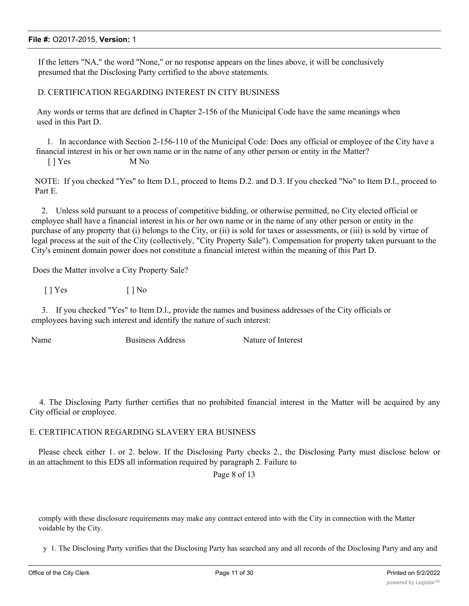If the letters "NA," the word "None," or no response appears on the lines above, it will be conclusively presumed that the Disclosing Party certified to the above statements.

D. CERTIFICATION REGARDING INTEREST IN CITY BUSINESS

Any words or terms that are defined in Chapter 2-156 of the Municipal Code have the same meanings when used in this Part D.

1. In accordance with Section 2-156-110 of the Municipal Code: Does any official or employee of the City have a financial interest in his or her own name or in the name of any other person or entity in the Matter?

[ ] Yes M No

NOTE: If you checked "Yes" to Item D.l., proceed to Items D.2. and D.3. If you checked "No" to Item D.l., proceed to Part E.

2. Unless sold pursuant to a process of competitive bidding, or otherwise permitted, no City elected official or employee shall have a financial interest in his or her own name or in the name of any other person or entity in the purchase of any property that (i) belongs to the City, or (ii) is sold for taxes or assessments, or (iii) is sold by virtue of legal process at the suit of the City (collectively, "City Property Sale"). Compensation for property taken pursuant to the City's eminent domain power does not constitute a financial interest within the meaning of this Part D.

Does the Matter involve a City Property Sale?

 $[ ]$  Yes  $[ ]$  No

3. If you checked "Yes" to Item D.l., provide the names and business addresses of the City officials or employees having such interest and identify the nature of such interest:

Name Business Address Nature of Interest

4. The Disclosing Party further certifies that no prohibited financial interest in the Matter will be acquired by any City official or employee.

#### E. CERTIFICATION REGARDING SLAVERY ERA BUSINESS

Please check either 1. or 2. below. If the Disclosing Party checks 2., the Disclosing Party must disclose below or in an attachment to this EDS all information required by paragraph 2. Failure to

Page 8 of 13

comply with these disclosure requirements may make any contract entered into with the City in connection with the Matter voidable by the City.

y 1. The Disclosing Party verifies that the Disclosing Party has searched any and all records of the Disclosing Party and any and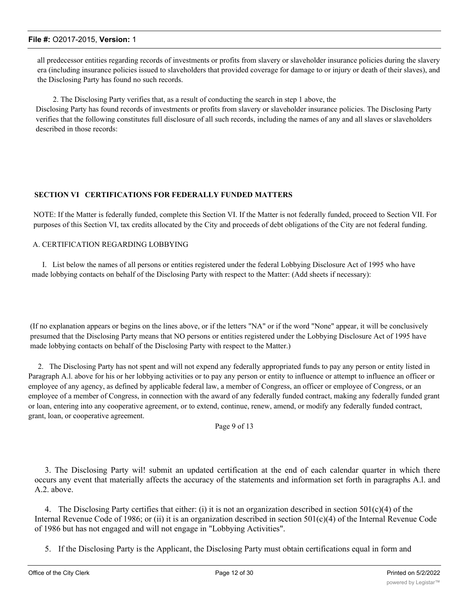all predecessor entities regarding records of investments or profits from slavery or slaveholder insurance policies during the slavery era (including insurance policies issued to slaveholders that provided coverage for damage to or injury or death of their slaves), and the Disclosing Party has found no such records.

2. The Disclosing Party verifies that, as a result of conducting the search in step 1 above, the Disclosing Party has found records of investments or profits from slavery or slaveholder insurance policies. The Disclosing Party verifies that the following constitutes full disclosure of all such records, including the names of any and all slaves or slaveholders described in those records:

#### **SECTION VI CERTIFICATIONS FOR FEDERALLY FUNDED MATTERS**

NOTE: If the Matter is federally funded, complete this Section VI. If the Matter is not federally funded, proceed to Section VII. For purposes of this Section VI, tax credits allocated by the City and proceeds of debt obligations of the City are not federal funding.

#### A. CERTIFICATION REGARDING LOBBYING

I. List below the names of all persons or entities registered under the federal Lobbying Disclosure Act of 1995 who have made lobbying contacts on behalf of the Disclosing Party with respect to the Matter: (Add sheets if necessary):

(If no explanation appears or begins on the lines above, or if the letters "NA" or if the word "None" appear, it will be conclusively presumed that the Disclosing Party means that NO persons or entities registered under the Lobbying Disclosure Act of 1995 have made lobbying contacts on behalf of the Disclosing Party with respect to the Matter.)

2. The Disclosing Party has not spent and will not expend any federally appropriated funds to pay any person or entity listed in Paragraph A.l. above for his or her lobbying activities or to pay any person or entity to influence or attempt to influence an officer or employee of any agency, as defined by applicable federal law, a member of Congress, an officer or employee of Congress, or an employee of a member of Congress, in connection with the award of any federally funded contract, making any federally funded grant or loan, entering into any cooperative agreement, or to extend, continue, renew, amend, or modify any federally funded contract, grant, loan, or cooperative agreement.

Page 9 of 13

3. The Disclosing Party wil! submit an updated certification at the end of each calendar quarter in which there occurs any event that materially affects the accuracy of the statements and information set forth in paragraphs A.l. and A.2. above.

4. The Disclosing Party certifies that either: (i) it is not an organization described in section  $501(c)(4)$  of the Internal Revenue Code of 1986; or (ii) it is an organization described in section 501(c)(4) of the Internal Revenue Code of 1986 but has not engaged and will not engage in "Lobbying Activities".

5. If the Disclosing Party is the Applicant, the Disclosing Party must obtain certifications equal in form and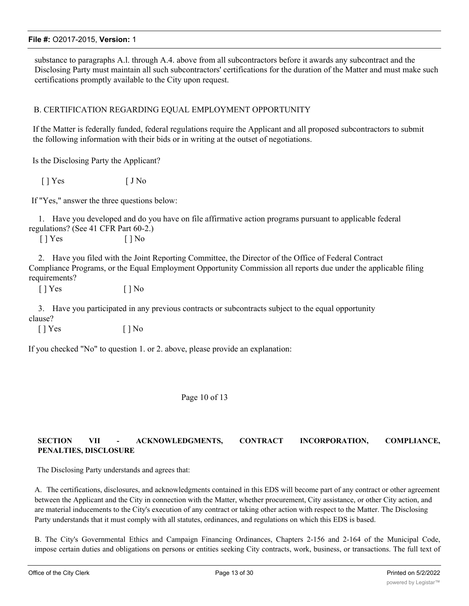substance to paragraphs A.l. through A.4. above from all subcontractors before it awards any subcontract and the Disclosing Party must maintain all such subcontractors' certifications for the duration of the Matter and must make such certifications promptly available to the City upon request.

## B. CERTIFICATION REGARDING EQUAL EMPLOYMENT OPPORTUNITY

If the Matter is federally funded, federal regulations require the Applicant and all proposed subcontractors to submit the following information with their bids or in writing at the outset of negotiations.

Is the Disclosing Party the Applicant?

 $[ ]$  Yes  $[ ]$  No

If "Yes," answer the three questions below:

1. Have you developed and do you have on file affirmative action programs pursuant to applicable federal regulations? (See 41 CFR Part 60-2.)

[ ] Yes [ ] No

2. Have you filed with the Joint Reporting Committee, the Director of the Office of Federal Contract Compliance Programs, or the Equal Employment Opportunity Commission all reports due under the applicable filing requirements?

 $[$  | Yes  $[$  | No

3. Have you participated in any previous contracts or subcontracts subject to the equal opportunity clause?

 $[ ]$  Yes  $[ ]$  No

If you checked "No" to question 1. or 2. above, please provide an explanation:

#### Page 10 of 13

## **SECTION VII - ACKNOWLEDGMENTS, CONTRACT INCORPORATION, COMPLIANCE, PENALTIES, DISCLOSURE**

The Disclosing Party understands and agrees that:

A. The certifications, disclosures, and acknowledgments contained in this EDS will become part of any contract or other agreement between the Applicant and the City in connection with the Matter, whether procurement, City assistance, or other City action, and are material inducements to the City's execution of any contract or taking other action with respect to the Matter. The Disclosing Party understands that it must comply with all statutes, ordinances, and regulations on which this EDS is based.

B. The City's Governmental Ethics and Campaign Financing Ordinances, Chapters 2-156 and 2-164 of the Municipal Code, impose certain duties and obligations on persons or entities seeking City contracts, work, business, or transactions. The full text of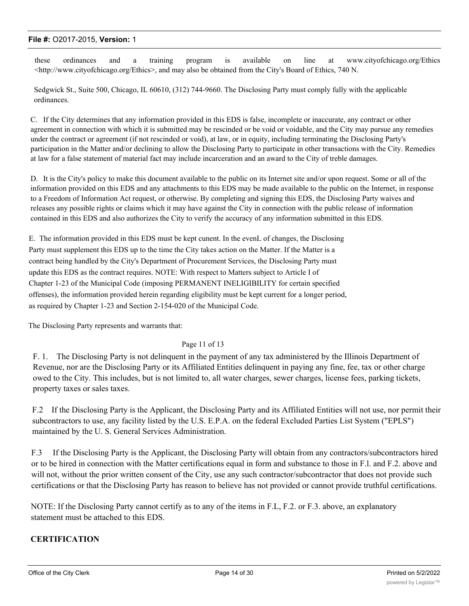these ordinances and a training program is available on line at www.cityofchicago.org/Ethics  $\lt$ http://www.cityofchicago.org/Ethics>, and may also be obtained from the City's Board of Ethics, 740 N.

Sedgwick St., Suite 500, Chicago, IL 60610, (312) 744-9660. The Disclosing Party must comply fully with the applicable ordinances.

C. If the City determines that any information provided in this EDS is false, incomplete or inaccurate, any contract or other agreement in connection with which it is submitted may be rescinded or be void or voidable, and the City may pursue any remedies under the contract or agreement (if not rescinded or void), at law, or in equity, including terminating the Disclosing Party's participation in the Matter and/or declining to allow the Disclosing Party to participate in other transactions with the City. Remedies at law for a false statement of material fact may include incarceration and an award to the City of treble damages.

D. It is the City's policy to make this document available to the public on its Internet site and/or upon request. Some or all of the information provided on this EDS and any attachments to this EDS may be made available to the public on the Internet, in response to a Freedom of Information Act request, or otherwise. By completing and signing this EDS, the Disclosing Party waives and releases any possible rights or claims which it may have against the City in connection with the public release of information contained in this EDS and also authorizes the City to verify the accuracy of any information submitted in this EDS.

E. The information provided in this EDS must be kept cunent. In the evenL of changes, the Disclosing Party must supplement this EDS up to the time the City takes action on the Matter. If the Matter is a contract being handled by the City's Department of Procurement Services, the Disclosing Party must update this EDS as the contract requires. NOTE: With respect to Matters subject to Article I of Chapter 1-23 of the Municipal Code (imposing PERMANENT INELIGIBILITY for certain specified offenses), the information provided herein regarding eligibility must be kept current for a longer period, as required by Chapter 1-23 and Section 2-154-020 of the Municipal Code.

The Disclosing Party represents and warrants that:

#### Page 11 of 13

F. 1. The Disclosing Party is not delinquent in the payment of any tax administered by the Illinois Department of Revenue, nor are the Disclosing Party or its Affiliated Entities delinquent in paying any fine, fee, tax or other charge owed to the City. This includes, but is not limited to, all water charges, sewer charges, license fees, parking tickets, property taxes or sales taxes.

F.2 If the Disclosing Party is the Applicant, the Disclosing Party and its Affiliated Entities will not use, nor permit their subcontractors to use, any facility listed by the U.S. E.P.A. on the federal Excluded Parties List System ("EPLS") maintained by the U. S. General Services Administration.

F.3 If the Disclosing Party is the Applicant, the Disclosing Party will obtain from any contractors/subcontractors hired or to be hired in connection with the Matter certifications equal in form and substance to those in F.l. and F.2. above and will not, without the prior written consent of the City, use any such contractor/subcontractor that does not provide such certifications or that the Disclosing Party has reason to believe has not provided or cannot provide truthful certifications.

NOTE: If the Disclosing Party cannot certify as to any of the items in F.L, F.2. or F.3. above, an explanatory statement must be attached to this EDS.

## **CERTIFICATION**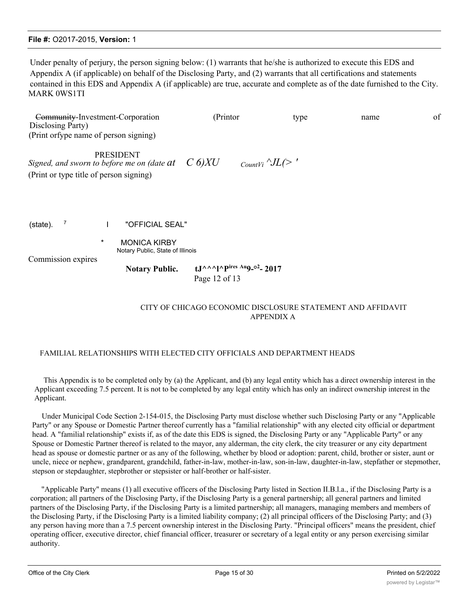Under penalty of perjury, the person signing below: (1) warrants that he/she is authorized to execute this EDS and Appendix A (if applicable) on behalf of the Disclosing Party, and (2) warrants that all certifications and statements contained in this EDS and Appendix A (if applicable) are true, accurate and complete as of the date furnished to the City. MARK 0WS1TI

Community-Investment-Corporation (Printor type name of Disclosing Party) (Print orfype name of person signing) PRESIDENT *Signed, and sworn to before me on (date at*  $C$  6) XU  $_{CounIVi} \sim IL(>$  ' (Print or type title of person signing)

(state). <sup>7</sup> I "OFFICIAL SEAL"

**MONICA KIRBY** Notary Public, State of Illinois

Commission expires

Notary Public. tJ^^^l^Pires Au9-02-2017 Page 12 of 13

## CITY OF CHICAGO ECONOMIC DISCLOSURE STATEMENT AND AFFIDAVIT APPENDIX A

#### FAMILIAL RELATIONSHIPS WITH ELECTED CITY OFFICIALS AND DEPARTMENT HEADS

This Appendix is to be completed only by (a) the Applicant, and (b) any legal entity which has a direct ownership interest in the Applicant exceeding 7.5 percent. It is not to be completed by any legal entity which has only an indirect ownership interest in the Applicant.

Under Municipal Code Section 2-154-015, the Disclosing Party must disclose whether such Disclosing Party or any "Applicable Party" or any Spouse or Domestic Partner thereof currently has a "familial relationship" with any elected city official or department head. A "familial relationship" exists if, as of the date this EDS is signed, the Disclosing Party or any "Applicable Party" or any Spouse or Domestic Partner thereof is related to the mayor, any alderman, the city clerk, the city treasurer or any city department head as spouse or domestic partner or as any of the following, whether by blood or adoption: parent, child, brother or sister, aunt or uncle, niece or nephew, grandparent, grandchild, father-in-law, mother-in-law, son-in-law, daughter-in-law, stepfather or stepmother, stepson or stepdaughter, stepbrother or stepsister or half-brother or half-sister.

"Applicable Party" means (1) all executive officers of the Disclosing Party listed in Section II.B.l.a., if the Disclosing Party is a corporation; all partners of the Disclosing Party, if the Disclosing Party is a general partnership; all general partners and limited partners of the Disclosing Party, if the Disclosing Party is a limited partnership; all managers, managing members and members of the Disclosing Party, if the Disclosing Party is a limited liability company; (2) all principal officers of the Disclosing Party; and (3) any person having more than a 7.5 percent ownership interest in the Disclosing Party. "Principal officers" means the president, chief operating officer, executive director, chief financial officer, treasurer or secretary of a legal entity or any person exercising similar authority.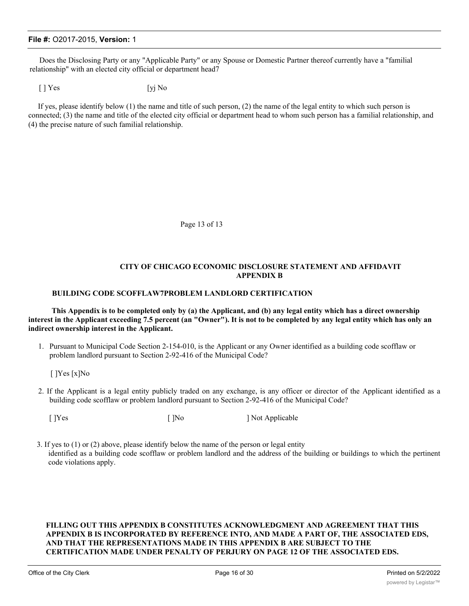Does the Disclosing Party or any "Applicable Party" or any Spouse or Domestic Partner thereof currently have a "familial relationship" with an elected city official or department head7

 $[ ]$  Yes  $[$ yj No

If yes, please identify below (1) the name and title of such person, (2) the name of the legal entity to which such person is connected; (3) the name and title of the elected city official or department head to whom such person has a familial relationship, and (4) the precise nature of such familial relationship.

Page 13 of 13

#### **CITY OF CHICAGO ECONOMIC DISCLOSURE STATEMENT AND AFFIDAVIT APPENDIX B**

#### **BUILDING CODE SCOFFLAW7PROBLEM LANDLORD CERTIFICATION**

**This Appendix is to be completed only by (a) the Applicant, and (b) any legal entity which has a direct ownership interest in the Applicant exceeding 7.5 percent (an "Owner"). It is not to be completed by any legal entity which has only an indirect ownership interest in the Applicant.**

1. Pursuant to Municipal Code Section 2-154-010, is the Applicant or any Owner identified as a building code scofflaw or problem landlord pursuant to Section 2-92-416 of the Municipal Code?

[ ]Yes [x]No

- 2. If the Applicant is a legal entity publicly traded on any exchange, is any officer or director of the Applicant identified as a building code scofflaw or problem landlord pursuant to Section 2-92-416 of the Municipal Code?
	-

[ ]Yes [ ]No ] Not Applicable

3. If yes to (1) or (2) above, please identify below the name of the person or legal entity identified as a building code scofflaw or problem landlord and the address of the building or buildings to which the pertinent code violations apply.

#### **FILLING OUT THIS APPENDIX B CONSTITUTES ACKNOWLEDGMENT AND AGREEMENT THAT THIS APPENDIX B IS INCORPORATED BY REFERENCE INTO, AND MADE A PART OF, THE ASSOCIATED EDS, AND THAT THE REPRESENTATIONS MADE IN THIS APPENDIX B ARE SUBJECT TO THE CERTIFICATION MADE UNDER PENALTY OF PERJURY ON PAGE 12 OF THE ASSOCIATED EDS.**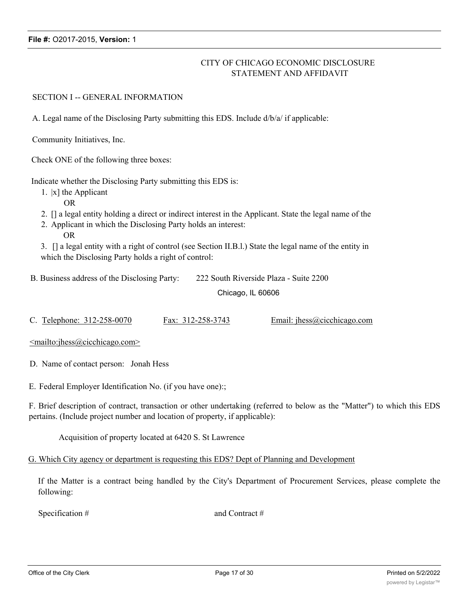## CITY OF CHICAGO ECONOMIC DISCLOSURE STATEMENT AND AFFIDAVIT

SECTION I -- GENERAL INFORMATION

A. Legal name of the Disclosing Party submitting this EDS. Include d/b/a/ if applicable:

Community Initiatives, Inc.

Check ONE of the following three boxes:

Indicate whether the Disclosing Party submitting this EDS is:

- 1. |x] the Applicant
	- OR
- 2. [] a legal entity holding a direct or indirect interest in the Applicant. State the legal name of the
- 2. Applicant in which the Disclosing Party holds an interest: OR

3. [] a legal entity with a right of control (see Section II.B.l.) State the legal name of the entity in which the Disclosing Party holds a right of control:

B. Business address of the Disclosing Party: 222 South Riverside Plaza - Suite 2200

Chicago, IL 60606

C. Telephone: 312-258-0070 Fax: 312-258-3743 Email: jhess@cicchicago.com

<mailto:jhess@cicchicago.com>

D. Name of contact person: Jonah Hess

E. Federal Employer Identification No. (if you have one):;

F. Brief description of contract, transaction or other undertaking (referred to below as the "Matter") to which this EDS pertains. (Include project number and location of property, if applicable):

Acquisition of property located at 6420 S. St Lawrence

G. Which City agency or department is requesting this EDS? Dept of Planning and Development

If the Matter is a contract being handled by the City's Department of Procurement Services, please complete the following:

Specification # and Contract #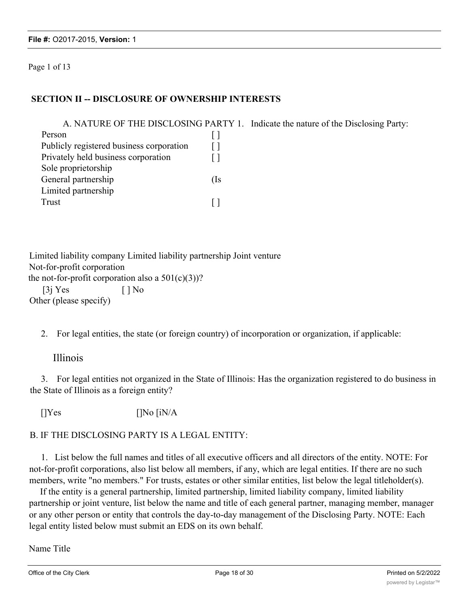Page 1 of 13

## **SECTION II -- DISCLOSURE OF OWNERSHIP INTERESTS**

|                                          |     | A. NATURE OF THE DISCLOSING PARTY 1. Indicate the nature of the Disclosing Party: |
|------------------------------------------|-----|-----------------------------------------------------------------------------------|
| Person                                   |     |                                                                                   |
| Publicly registered business corporation |     |                                                                                   |
| Privately held business corporation      |     |                                                                                   |
| Sole proprietorship                      |     |                                                                                   |
| General partnership                      | (Is |                                                                                   |
| Limited partnership                      |     |                                                                                   |
| Trust                                    |     |                                                                                   |

Limited liability company Limited liability partnership Joint venture Not-for-profit corporation the not-for-profit corporation also a  $501(c)(3)$ ?  $[3]$  Yes  $[ ]$  No Other (please specify)

2. For legal entities, the state (or foreign country) of incorporation or organization, if applicable:

## Illinois

3. For legal entities not organized in the State of Illinois: Has the organization registered to do business in the State of Illinois as a foreign entity?

 $[]$ Yes  $[]$ No  $[$ iN/A

## B. IF THE DISCLOSING PARTY IS A LEGAL ENTITY:

1. List below the full names and titles of all executive officers and all directors of the entity. NOTE: For not-for-profit corporations, also list below all members, if any, which are legal entities. If there are no such members, write "no members." For trusts, estates or other similar entities, list below the legal titleholder(s).

If the entity is a general partnership, limited partnership, limited liability company, limited liability partnership or joint venture, list below the name and title of each general partner, managing member, manager or any other person or entity that controls the day-to-day management of the Disclosing Party. NOTE: Each legal entity listed below must submit an EDS on its own behalf.

Name Title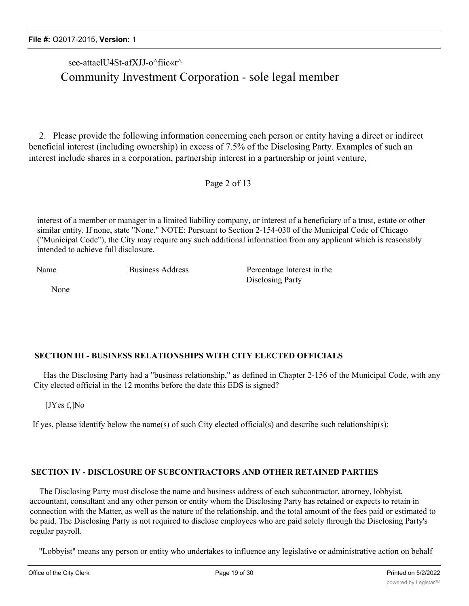## see-attaclU4St-afXJJ-o^fiic«r^

## Community Investment Corporation - sole legal member

2. Please provide the following information concerning each person or entity having a direct or indirect beneficial interest (including ownership) in excess of 7.5% of the Disclosing Party. Examples of such an interest include shares in a corporation, partnership interest in a partnership or joint venture,

Page 2 of 13

interest of a member or manager in a limited liability company, or interest of a beneficiary of a trust, estate or other similar entity. If none, state "None." NOTE: Pursuant to Section 2-154-030 of the Municipal Code of Chicago ("Municipal Code"), the City may require any such additional information from any applicant which is reasonably intended to achieve full disclosure.

Name Business Address Percentage Interest in the Disclosing Party

None

## **SECTION III - BUSINESS RELATIONSHIPS WITH CITY ELECTED OFFICIALS**

Has the Disclosing Party had a "business relationship," as defined in Chapter 2-156 of the Municipal Code, with any City elected official in the 12 months before the date this EDS is signed?

[JYes f,]No

If yes, please identify below the name(s) of such City elected official(s) and describe such relationship(s):

## **SECTION IV - DISCLOSURE OF SUBCONTRACTORS AND OTHER RETAINED PARTIES**

The Disclosing Party must disclose the name and business address of each subcontractor, attorney, lobbyist, accountant, consultant and any other person or entity whom the Disclosing Party has retained or expects to retain in connection with the Matter, as well as the nature of the relationship, and the total amount of the fees paid or estimated to be paid. The Disclosing Party is not required to disclose employees who are paid solely through the Disclosing Party's regular payroll.

"Lobbyist" means any person or entity who undertakes to influence any legislative or administrative action on behalf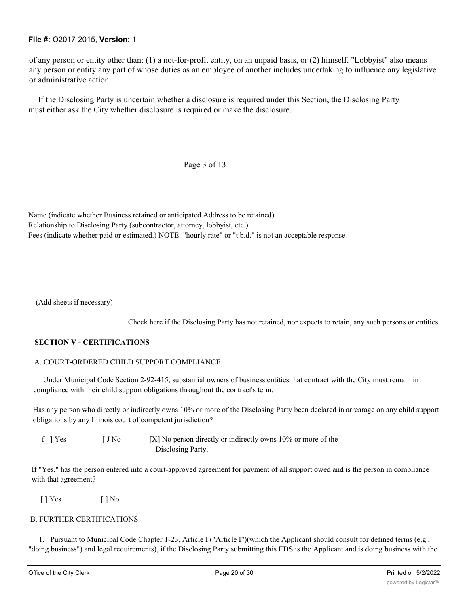of any person or entity other than: (1) a not-for-profit entity, on an unpaid basis, or (2) himself. "Lobbyist" also means any person or entity any part of whose duties as an employee of another includes undertaking to influence any legislative or administrative action.

If the Disclosing Party is uncertain whether a disclosure is required under this Section, the Disclosing Party must either ask the City whether disclosure is required or make the disclosure.

#### Page 3 of 13

Name (indicate whether Business retained or anticipated Address to be retained) Relationship to Disclosing Party (subcontractor, attorney, lobbyist, etc.) Fees (indicate whether paid or estimated.) NOTE: "hourly rate" or "t.b.d." is not an acceptable response.

(Add sheets if necessary)

Check here if the Disclosing Party has not retained, nor expects to retain, any such persons or entities.

#### **SECTION V - CERTIFICATIONS**

#### A. COURT-ORDERED CHILD SUPPORT COMPLIANCE

Under Municipal Code Section 2-92-415, substantial owners of business entities that contract with the City must remain in compliance with their child support obligations throughout the contract's term.

Has any person who directly or indirectly owns 10% or more of the Disclosing Party been declared in arrearage on any child support obligations by any Illinois court of competent jurisdiction?

f ] Yes  $[ J No \t S]$  No person directly or indirectly owns 10% or more of the Disclosing Party.

If "Yes," has the person entered into a court-approved agreement for payment of all support owed and is the person in compliance with that agreement?

 $[$  | Yes  $[$  | No

#### B. FURTHER CERTIFICATIONS

1. Pursuant to Municipal Code Chapter 1-23, Article I ("Article I")(which the Applicant should consult for defined terms (e.g., "doing business") and legal requirements), if the Disclosing Party submitting this EDS is the Applicant and is doing business with the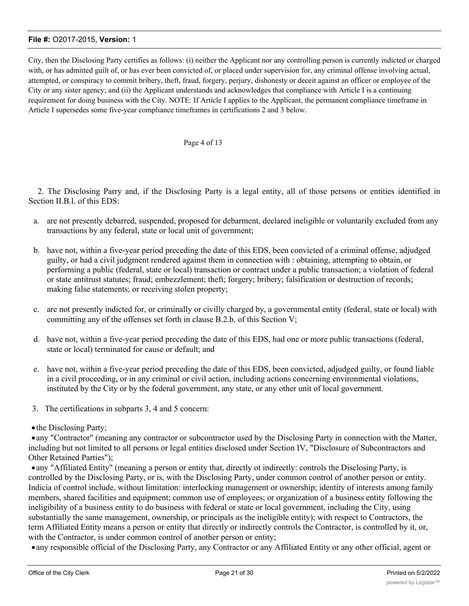City, then the Disclosing Party certifies as follows: (i) neither the Applicant nor any controlling person is currently indicted or charged with, or has admitted guilt of, or has ever been convicted of, or placed under supervision for, any criminal offense involving actual, attempted, or conspiracy to commit bribery, theft, fraud, forgery, perjury, dishonesty or deceit against an officer or employee of the City or any sister agency; and (ii) the Applicant understands and acknowledges that compliance with Article I is a continuing requirement for doing business with the City. NOTE: If Article I applies to the Applicant, the permanent compliance timeframe in Article I supersedes some five-year compliance timeframes in certifications 2 and 3 below.

#### Page 4 of 13

2. The Disclosing Parry and, if the Disclosing Party is a legal entity, all of those persons or entities identified in Section II.B.l. of this EDS:

- a. are not presently debarred, suspended, proposed for debarment, declared ineligible or voluntarily excluded from any transactions by any federal, state or local unit of government;
- b. have not, within a five-year period preceding the date of this EDS, been convicted of a criminal offense, adjudged guilty, or had a civil judgment rendered against them in connection with : obtaining, attempting to obtain, or performing a public (federal, state or local) transaction or contract under a public transaction; a violation of federal or state antitrust statutes; fraud; embezzlement; theft; forgery; bribery; falsification or destruction of records; making false statements; or receiving stolen property;
- c. are not presently indicted for, or criminally or civilly charged by, a governmental entity (federal, state or local) with committing any of the offenses set forth in clause B.2.b. of this Section V;
- d. have not, within a five-year period preceding the date of this EDS, had one or more public transactions (federal, state or local) terminated for cause or default; and
- e. have not, within a five-year period preceding the date of this EDS, been convicted, adjudged guilty, or found liable in a civil proceeding, or in any criminal or civil action, including actions concerning environmental violations, instituted by the City or by the federal government, any state, or any other unit of local government.
- 3. The certifications in subparts 3, 4 and 5 concern:
- the Disclosing Party;

·any "Contractor" (meaning any contractor or subcontractor used by the Disclosing Party in connection with the Matter, including but not limited to all persons or legal entities disclosed under Section IV, "Disclosure of Subcontractors and Other Retained Parties");

·any "Affiliated Entity" (meaning a person or entity that, directly ot indirectly: controls the Disclosing Party, is controlled by the Disclosing Party, or is, with the Disclosing Party, under common control of another person or entity. Indicia of control include, without limitation: interlocking management or ownership; identity of interests among family members, shared facilities and equipment; common use of employees; or organization of a business entity following the ineligibility of a business entity to do business with federal or state or local government, including the City, using substantially the same management, ownership, or principals as the ineligible entity); with respect to Contractors, the term Affiliated Entity means a person or entity that directly or indirectly controls the Contractor, is controlled by it, or, with the Contractor, is under common control of another person or entity;

·any responsible official of the Disclosing Party, any Contractor or any Affiliated Entity or any other official, agent or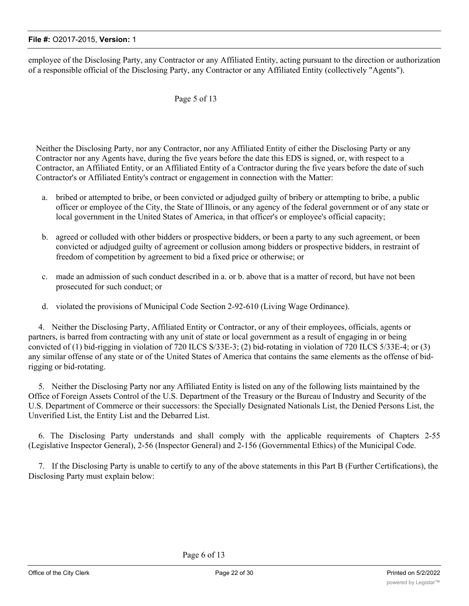employee of the Disclosing Party, any Contractor or any Affiliated Entity, acting pursuant to the direction or authorization of a responsible official of the Disclosing Party, any Contractor or any Affiliated Entity (collectively "Agents").

## Page 5 of 13

Neither the Disclosing Party, nor any Contractor, nor any Affiliated Entity of either the Disclosing Party or any Contractor nor any Agents have, during the five years before the date this EDS is signed, or, with respect to a Contractor, an Affiliated Entity, or an Affiliated Entity of a Contractor during the five years before the date of such Contractor's or Affiliated Entity's contract or engagement in connection with the Matter:

- a. bribed or attempted to bribe, or been convicted or adjudged guilty of bribery or attempting to bribe, a public officer or employee of the City, the State of Illinois, or any agency of the federal government or of any state or local government in the United States of America, in that officer's or employee's official capacity;
- b. agreed or colluded with other bidders or prospective bidders, or been a party to any such agreement, or been convicted or adjudged guilty of agreement or collusion among bidders or prospective bidders, in restraint of freedom of competition by agreement to bid a fixed price or otherwise; or
- c. made an admission of such conduct described in a. or b. above that is a matter of record, but have not been prosecuted for such conduct; or
- d. violated the provisions of Municipal Code Section 2-92-610 (Living Wage Ordinance).

4. Neither the Disclosing Party, Affiliated Entity or Contractor, or any of their employees, officials, agents or partners, is barred from contracting with any unit of state or local government as a result of engaging in or being convicted of (1) bid-rigging in violation of 720 ILCS S/33E-3; (2) bid-rotating in violation of 720 ILCS 5/33E-4; or (3) any similar offense of any state or of the United States of America that contains the same elements as the offense of bidrigging or bid-rotating.

5. Neither the Disclosing Party nor any Affiliated Entity is listed on any of the following lists maintained by the Office of Foreign Assets Control of the U.S. Department of the Treasury or the Bureau of Industry and Security of the U.S. Department of Commerce or their successors: the Specially Designated Nationals List, the Denied Persons List, the Unverified List, the Entity List and the Debarred List.

6. The Disclosing Party understands and shall comply with the applicable requirements of Chapters 2-55 (Legislative Inspector General), 2-56 (Inspector General) and 2-156 (Governmental Ethics) of the Municipal Code.

7. If the Disclosing Party is unable to certify to any of the above statements in this Part B (Further Certifications), the Disclosing Party must explain below: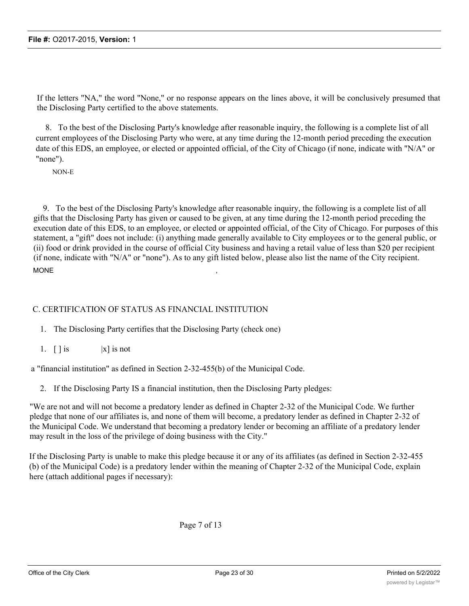If the letters "NA," the word "None," or no response appears on the lines above, it will be conclusively presumed that the Disclosing Party certified to the above statements.

8. To the best of the Disclosing Party's knowledge after reasonable inquiry, the following is a complete list of all current employees of the Disclosing Party who were, at any time during the 12-month period preceding the execution date of this EDS, an employee, or elected or appointed official, of the City of Chicago (if none, indicate with "N/A" or "none").

NON-E

9. To the best of the Disclosing Party's knowledge after reasonable inquiry, the following is a complete list of all gifts that the Disclosing Party has given or caused to be given, at any time during the 12-month period preceding the execution date of this EDS, to an employee, or elected or appointed official, of the City of Chicago. For purposes of this statement, a "gift" does not include: (i) anything made generally available to City employees or to the general public, or (ii) food or drink provided in the course of official City business and having a retail value of less than \$20 per recipient (if none, indicate with "N/A" or "none"). As to any gift listed below, please also list the name of the City recipient. MONE  $\,$ 

## C. CERTIFICATION OF STATUS AS FINANCIAL INSTITUTION

1. The Disclosing Party certifies that the Disclosing Party (check one)

1.  $\lceil \cdot \rceil$  is  $\lceil x \rceil$  is not

a "financial institution" as defined in Section 2-32-455(b) of the Municipal Code.

2. If the Disclosing Party IS a financial institution, then the Disclosing Party pledges:

"We are not and will not become a predatory lender as defined in Chapter 2-32 of the Municipal Code. We further pledge that none of our affiliates is, and none of them will become, a predatory lender as defined in Chapter 2-32 of the Municipal Code. We understand that becoming a predatory lender or becoming an affiliate of a predatory lender may result in the loss of the privilege of doing business with the City."

If the Disclosing Party is unable to make this pledge because it or any of its affiliates (as defined in Section 2-32-455 (b) of the Municipal Code) is a predatory lender within the meaning of Chapter 2-32 of the Municipal Code, explain here (attach additional pages if necessary):

Page 7 of 13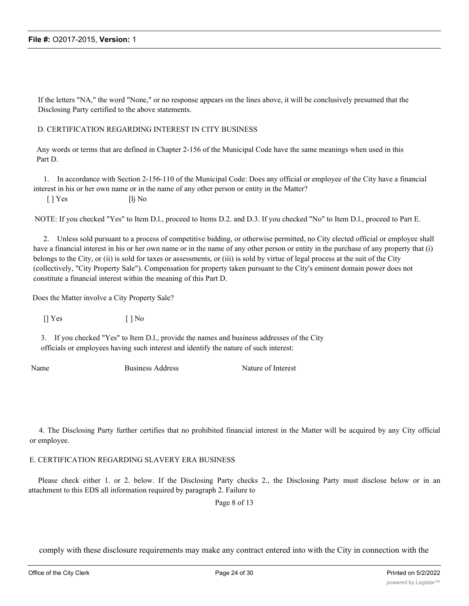If the letters "NA," the word "None," or no response appears on the lines above, it will be conclusively presumed that the Disclosing Party certified to the above statements.

#### D. CERTIFICATION REGARDING INTEREST IN CITY BUSINESS

Any words or terms that are defined in Chapter 2-156 of the Municipal Code have the same meanings when used in this Part D.

1. In accordance with Section 2-156-110 of the Municipal Code: Does any official or employee of the City have a financial interest in his or her own name or in the name of any other person or entity in the Matter?

 $\lceil \cdot \rceil$  Yes  $\lceil \cdot \rceil$  No

NOTE: If you checked "Yes" to Item D.l., proceed to Items D.2. and D.3. If you checked "No" to Item D.l., proceed to Part E.

2. Unless sold pursuant to a process of competitive bidding, or otherwise permitted, no City elected official or employee shall have a financial interest in his or her own name or in the name of any other person or entity in the purchase of any property that (i) belongs to the City, or (ii) is sold for taxes or assessments, or (iii) is sold by virtue of legal process at the suit of the City (collectively, "City Property Sale"). Compensation for property taken pursuant to the City's eminent domain power does not constitute a financial interest within the meaning of this Part D.

Does the Matter involve a City Property Sale?

 $[$  | Yes  $[$  | No

3. If you checked "Yes" to Item D.l., provide the names and business addresses of the City officials or employees having such interest and identify the nature of such interest:

Name Business Address Nature of Interest

4. The Disclosing Party further certifies that no prohibited financial interest in the Matter will be acquired by any City official or employee.

E. CERTIFICATION REGARDING SLAVERY ERA BUSINESS

Please check either 1. or 2. below. If the Disclosing Party checks 2., the Disclosing Party must disclose below or in an attachment to this EDS all information required by paragraph 2. Failure to

Page 8 of 13

comply with these disclosure requirements may make any contract entered into with the City in connection with the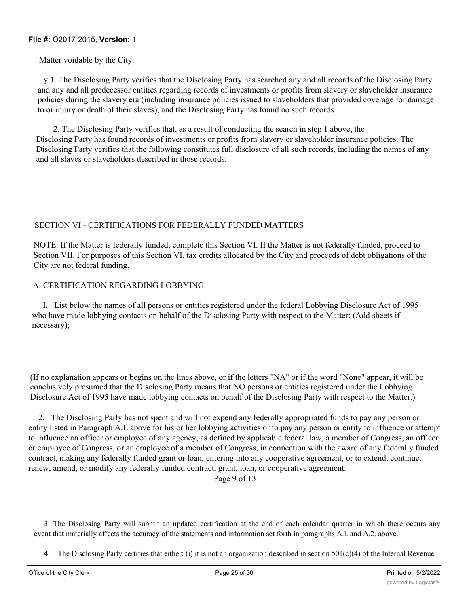Matter voidable by the City.

y 1. The Disclosing Party verifies that the Disclosing Party has searched any and all records of the Disclosing Party and any and all predecessor entities regarding records of investments or profits from slavery or slaveholder insurance policies during the slavery era (including insurance policies issued to slaveholders that provided coverage for damage to or injury or death of their slaves), and the Disclosing Party has found no such records.

2. The Disclosing Party verifies that, as a result of conducting the search in step 1 above, the Disclosing Party has found records of investments or profits from slavery or slaveholder insurance policies. The Disclosing Party verifies that the following constitutes full disclosure of all such records, including the names of any and all slaves or slaveholders described in those records:

## SECTION VI - CERTIFICATIONS FOR FEDERALLY FUNDED MATTERS

NOTE: If the Matter is federally funded, complete this Section VI. If the Matter is not federally funded, proceed to Section VII. For purposes of this Section VI, tax credits allocated by the City and proceeds of debt obligations of the City are not federal funding.

## A. CERTIFICATION REGARDING LOBBYING

I. List below the names of all persons or entities registered under the federal Lobbying Disclosure Act of 1995 who have made lobbying contacts on behalf of the Disclosing Party with respect to the Matter: (Add sheets if necessary);

(If no explanation appears or begins on the lines above, or if the letters "NA" or if the word "None" appear, it will be conclusively presumed that the Disclosing Party means that NO persons or entities registered under the Lobbying Disclosure Act of 1995 have made lobbying contacts on behalf of the Disclosing Party with respect to the Matter.)

2. The Disclosing Parly has not spent and will not expend any federally appropriated funds to pay any person or entity listed in Paragraph A.L above for his or her lobbying activities or to pay any person or entity to influence or attempt to influence an officer or employee of any agency, as defined by applicable federal law, a member of Congress, an officer or employee of Congress, or an employee of a member of Congress, in connection with the award of any federally funded contract, making any federally funded grant or loan; entering into any cooperative agreement, or to extend, continue, renew, amend, or modify any federally funded contract, grant, loan, or cooperative agreement.

Page 9 of 13

3. The Disclosing Party will submit an updated certification at the end of each calendar quarter in which there occurs any event that materially affects the accuracy of the statements and information set forth in paragraphs A.l. and A.2. above.

4. The Disclosing Party certifies that either: (i) it is not an organization described in section  $501(c)(4)$  of the Internal Revenue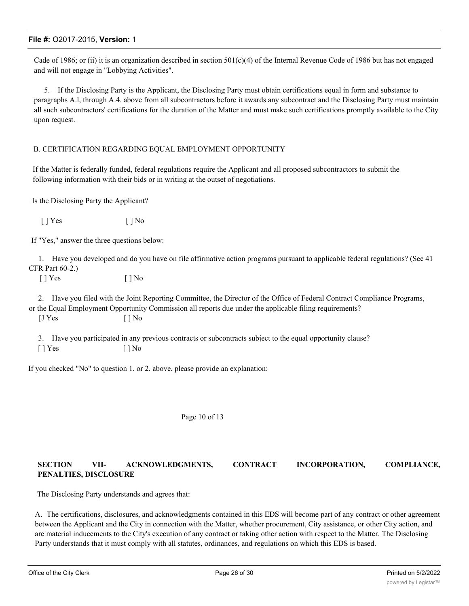Cade of 1986; or (ii) it is an organization described in section  $501(c)(4)$  of the Internal Revenue Code of 1986 but has not engaged and will not engage in "Lobbying Activities".

5. If the Disclosing Party is the Applicant, the Disclosing Party must obtain certifications equal in form and substance to paragraphs A.l, through A.4. above from all subcontractors before it awards any subcontract and the Disclosing Party must maintain all such subcontractors' certifications for the duration of the Matter and must make such certifications promptly available to the City upon request.

#### B. CERTIFICATION REGARDING EQUAL EMPLOYMENT OPPORTUNITY

If the Matter is federally funded, federal regulations require the Applicant and all proposed subcontractors to submit the following information with their bids or in writing at the outset of negotiations.

Is the Disclosing Party the Applicant?

 $[ ]$  Yes  $[ ]$  No

If "Yes," answer the three questions below:

1. Have you developed and do you have on file affirmative action programs pursuant to applicable federal regulations? (See 41 CFR Part 60-2.)

 $[ ]$  Yes  $[ ]$  No

2. Have you filed with the Joint Reporting Committee, the Director of the Office of Federal Contract Compliance Programs, or the Equal Employment Opportunity Commission all reports due under the applicable filing requirements?  $[JYes$  [ ] No

3. Have you participated in any previous contracts or subcontracts subject to the equal opportunity clause? [ ] Yes [ ] No

If you checked "No" to question 1. or 2. above, please provide an explanation:

#### Page 10 of 13

#### **SECTION VII- ACKNOWLEDGMENTS, CONTRACT INCORPORATION, COMPLIANCE, PENALTIES, DISCLOSURE**

The Disclosing Party understands and agrees that:

A. The certifications, disclosures, and acknowledgments contained in this EDS will become part of any contract or other agreement between the Applicant and the City in connection with the Matter, whether procurement, City assistance, or other City action, and are material inducements to the City's execution of any contract or taking other action with respect to the Matter. The Disclosing Party understands that it must comply with all statutes, ordinances, and regulations on which this EDS is based.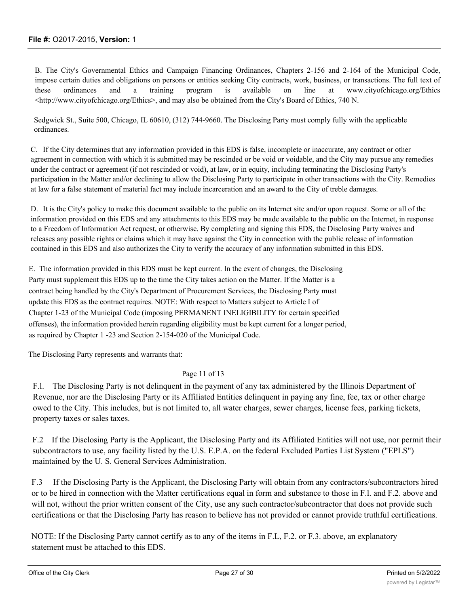B. The City's Governmental Ethics and Campaign Financing Ordinances, Chapters 2-156 and 2-164 of the Municipal Code, impose certain duties and obligations on persons or entities seeking City contracts, work, business, or transactions. The full text of these ordinances and a training program is available on line at www.cityofchicago.org/Ethics <http://www.cityofchicago.org/Ethics>, and may also be obtained from the City's Board of Ethics, 740 N.

Sedgwick St., Suite 500, Chicago, IL 60610, (312) 744-9660. The Disclosing Party must comply fully with the applicable ordinances.

C. If the City determines that any information provided in this EDS is false, incomplete or inaccurate, any contract or other agreement in connection with which it is submitted may be rescinded or be void or voidable, and the City may pursue any remedies under the contract or agreement (if not rescinded or void), at law, or in equity, including terminating the Disclosing Party's participation in the Matter and/or declining to allow the Disclosing Party to participate in other transactions with the City. Remedies at law for a false statement of material fact may include incarceration and an award to the City of treble damages.

D. It is the City's policy to make this document available to the public on its Internet site and/or upon request. Some or all of the information provided on this EDS and any attachments to this EDS may be made available to the public on the Internet, in response to a Freedom of Information Act request, or otherwise. By completing and signing this EDS, the Disclosing Party waives and releases any possible rights or claims which it may have against the City in connection with the public release of information contained in this EDS and also authorizes the City to verify the accuracy of any information submitted in this EDS.

E. The information provided in this EDS must be kept current. In the event of changes, the Disclosing Party must supplement this EDS up to the time the City takes action on the Matter. If the Matter is a contract being handled by the City's Department of Procurement Services, the Disclosing Party must update this EDS as the contract requires. NOTE: With respect to Matters subject to Article I of Chapter 1-23 of the Municipal Code (imposing PERMANENT INELIGIBILITY for certain specified offenses), the information provided herein regarding eligibility must be kept current for a longer period, as required by Chapter 1 -23 and Section 2-154-020 of the Municipal Code.

The Disclosing Party represents and warrants that:

#### Page 11 of 13

F.l. The Disclosing Party is not delinquent in the payment of any tax administered by the Illinois Department of Revenue, nor are the Disclosing Party or its Affiliated Entities delinquent in paying any fine, fee, tax or other charge owed to the City. This includes, but is not limited to, all water charges, sewer charges, license fees, parking tickets, property taxes or sales taxes.

F.2 If the Disclosing Party is the Applicant, the Disclosing Party and its Affiliated Entities will not use, nor permit their subcontractors to use, any facility listed by the U.S. E.P.A. on the federal Excluded Parties List System ("EPLS") maintained by the U. S. General Services Administration.

F.3 If the Disclosing Party is the Applicant, the Disclosing Party will obtain from any contractors/subcontractors hired or to be hired in connection with the Matter certifications equal in form and substance to those in F.l. and F.2. above and will not, without the prior written consent of the City, use any such contractor/subcontractor that does not provide such certifications or that the Disclosing Party has reason to believe has not provided or cannot provide truthful certifications.

NOTE: If the Disclosing Party cannot certify as to any of the items in F.L, F.2. or F.3. above, an explanatory statement must be attached to this EDS.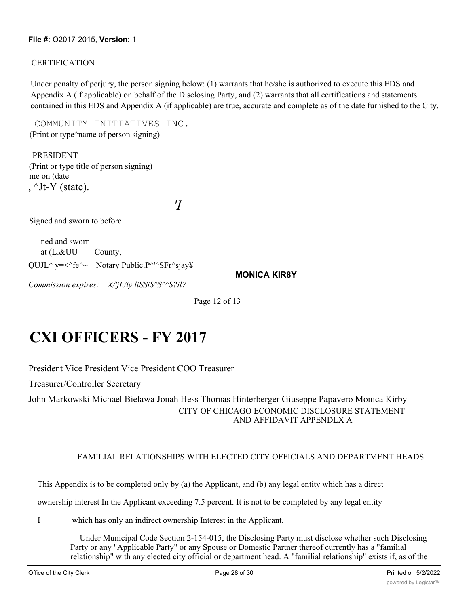## **CERTIFICATION**

Under penalty of perjury, the person signing below: (1) warrants that he/she is authorized to execute this EDS and Appendix A (if applicable) on behalf of the Disclosing Party, and (2) warrants that all certifications and statements contained in this EDS and Appendix A (if applicable) are true, accurate and complete as of the date furnished to the City.

COMMUNITY INITIATIVES INC. (Print or type^name of person signing)

PRESIDENT (Print or type title of person signing) me on (date ,  $\text{Jt-Y}$  (state).

*'I*

Signed and sworn to before

ned and sworn at (L.&UU County, QUJL^ y=<^fe^~ Notary Public.P^'^SFr^sjay\

**MONICA KIR8Y**

*Commission expires: X/'jL/ty liSSiS^S^^S?il7*

Page 12 of 13

# **CXI OFFICERS - FY 2017**

President Vice President Vice President COO Treasurer

Treasurer/Controller Secretary

John Markowski Michael Bielawa Jonah Hess Thomas Hinterberger Giuseppe Papavero Monica Kirby CITY OF CHICAGO ECONOMIC DISCLOSURE STATEMENT AND AFFIDAVIT APPENDLX A

## FAMILIAL RELATIONSHIPS WITH ELECTED CITY OFFICIALS AND DEPARTMENT HEADS

This Appendix is to be completed only by (a) the Applicant, and (b) any legal entity which has a direct

ownership interest In the Applicant exceeding 7.5 percent. It is not to be completed by any legal entity

I which has only an indirect ownership Interest in the Applicant.

Under Municipal Code Section 2-154-015, the Disclosing Party must disclose whether such Disclosing Party or any "Applicable Party" or any Spouse or Domestic Partner thereof currently has a "familial relationship" with any elected city official or department head. A "familial relationship" exists if, as of the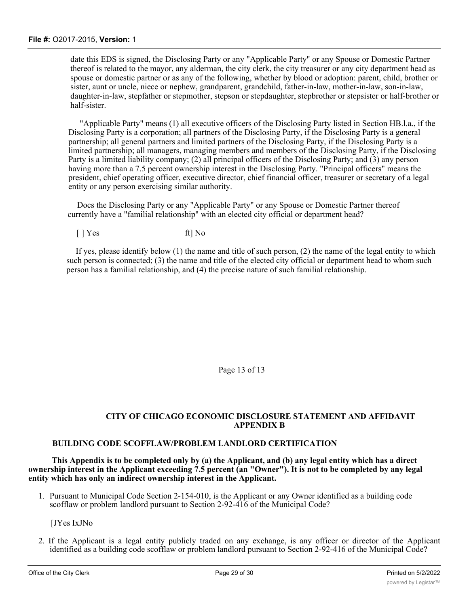date this EDS is signed, the Disclosing Party or any "Applicable Party" or any Spouse or Domestic Partner thereof is related to the mayor, any alderman, the city clerk, the city treasurer or any city department head as spouse or domestic partner or as any of the following, whether by blood or adoption: parent, child, brother or sister, aunt or uncle, niece or nephew, grandparent, grandchild, father-in-law, mother-in-law, son-in-law, daughter-in-law, stepfather or stepmother, stepson or stepdaughter, stepbrother or stepsister or half-brother or half-sister.

"Applicable Party" means (1) all executive officers of the Disclosing Party listed in Section HB.l.a., if the Disclosing Party is a corporation; all partners of the Disclosing Party, if the Disclosing Party is a general partnership; all general partners and limited partners of the Disclosing Party, if the Disclosing Party is a limited partnership; all managers, managing members and members of the Disclosing Party, if the Disclosing Party is a limited liability company; (2) all principal officers of the Disclosing Party; and (3) any person having more than a 7.5 percent ownership interest in the Disclosing Party. "Principal officers" means the president, chief operating officer, executive director, chief financial officer, treasurer or secretary of a legal entity or any person exercising similar authority.

Docs the Disclosing Party or any "Applicable Party" or any Spouse or Domestic Partner thereof currently have a "familial relationship" with an elected city official or department head?

[ ] Yes ft] No

If yes, please identify below (1) the name and title of such person, (2) the name of the legal entity to which such person is connected; (3) the name and title of the elected city official or department head to whom such person has a familial relationship, and (4) the precise nature of such familial relationship.

Page 13 of 13

## **CITY OF CHICAGO ECONOMIC DISCLOSURE STATEMENT AND AFFIDAVIT APPENDIX B**

#### **BUILDING CODE SCOFFLAW/PROBLEM LANDLORD CERTIFICATION**

**This Appendix is to be completed only by (a) the Applicant, and (b) any legal entity which has a direct ownership interest in the Applicant exceeding 7.5 percent (an "Owner"). It is not to be completed by any legal entity which has only an indirect ownership interest in the Applicant.**

1. Pursuant to Municipal Code Section 2-154-010, is the Applicant or any Owner identified as a building code scofflaw or problem landlord pursuant to Section 2-92-416 of the Municipal Code?

[JYes IxJNo

2. If the Applicant is a legal entity publicly traded on any exchange, is any officer or director of the Applicant identified as a building code scofflaw or problem landlord pursuant to Section 2-92-416 of the Municipal Code?